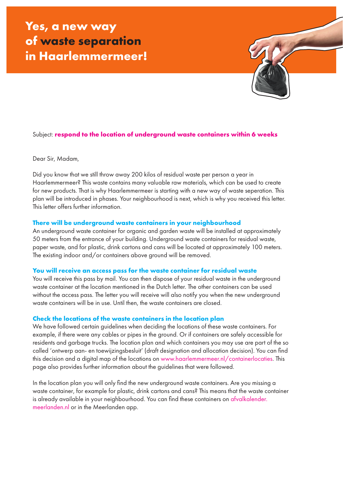# **Yes, a new way of waste separation in Haarlemmermeer!**



# Subject: **respond to the location of underground waste containers within 6 weeks**

Dear Sir, Madam,

Did you know that we still throw away 200 kilos of residual waste per person a year in Haarlemmermeer? This waste contains many valuable raw materials, which can be used to create for new products. That is why Haarlemmermeer is starting with a new way of waste seperation. This plan will be introduced in phases. Your neighbourhood is next, which is why you received this letter. This letter offers further information.

#### **There will be underground waste containers in your neighbourhood**

An underground waste container for organic and garden waste will be installed at approximately 50 meters from the entrance of your building. Underground waste containers for residual waste, paper waste, and for plastic, drink cartons and cans will be located at approximately 100 meters. The existing indoor and/or containers above ground will be removed.

#### **You will receive an access pass for the waste container for residual waste**

You will receive this pass by mail. You can then dispose of your residual waste in the underground waste container at the location mentioned in the Dutch letter. The other containers can be used without the access pass. The letter you will receive will also notify you when the new underground waste containers will be in use. Until then, the waste containers are closed.

#### **Check the locations of the waste containers in the location plan**

We have followed certain guidelines when deciding the locations of these waste containers. For example, if there were any cables or pipes in the ground. Or if containers are safely accessible for residents and garbage trucks. The location plan and which containers you may use are part of the so called 'ontwerp aan- en toewijzingsbesluit' (draft designation and allocation decision). You can find this decision and a digital map of the locations on www.haarlemmermeer.nl/containerlocaties. This page also provides further information about the guidelines that were followed.

In the location plan you will only find the new underground waste containers. Are you missing a waste container, for example for plastic, drink cartons and cans? This means that the waste container is already available in your neighbourhood. You can find these containers on afvalkalender. meerlanden.nl or in the Meerlanden app.